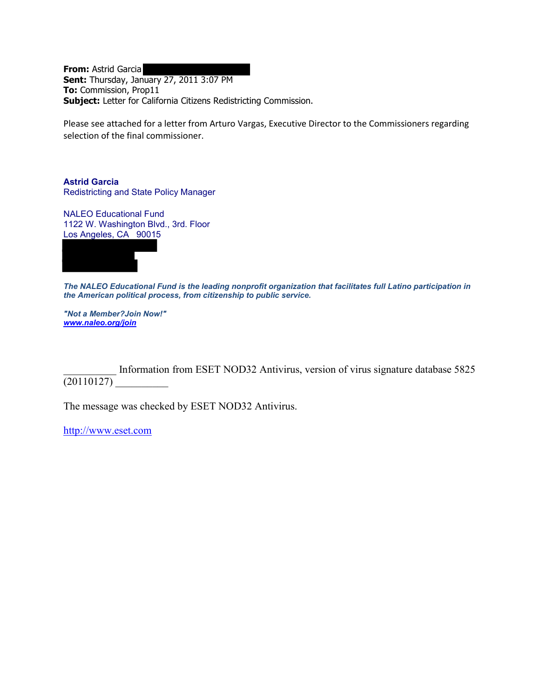**From:** Astrid Garcia **Sent:** Thursday, January 27, 2011 3:07 PM **To:** Commission, Prop11 **Subject:** Letter for California Citizens Redistricting Commission.

Please see attached for a letter from Arturo Vargas, Executive Director to the Commissioners regarding selection of the final commissioner.

**Astrid Garcia** Redistricting and State Policy Manager

NALEO Educational Fund 1122 W. Washington Blvd., 3rd. Floor Los Angeles, CA 90015



*The NALEO Educational Fund is the leading nonprofit organization that facilitates full Latino participation in the American political process, from citizenship to public service.*

*"Not a Member?Join Now!" [www.naleo.org/join](http://www.naleo.org/join)*

Information from ESET NOD32 Antivirus, version of virus signature database 5825  $(20110127)$ 

The message was checked by ESET NOD32 Antivirus.

[http://www.eset.com](http://www.eset.com/)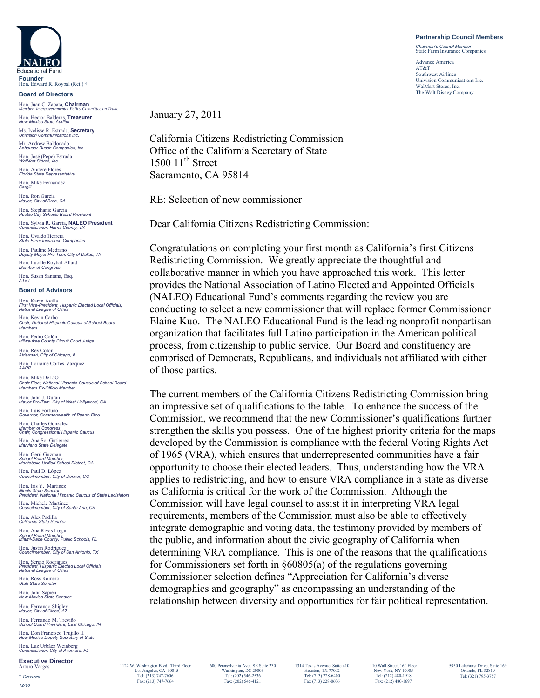## **Partnership Council Members**

*Chairman's Council Member* State Farm Insurance Companies

Advance America AT&T Southwest Airlines Univision Communications Inc. WalMart Stores, Inc. The Walt Disney Company

**JALEO Educational Fund Founder** Hon. Edward R. Roybal (Ret.) †

**Board of Directors**

Hon. Juan C. Zapata, **Chairman** *Member, Intergovernmental Policy Committee on Trade*

Hon. Hector Balderas, **Treasurer** *New Mexico State Auditor*

Ms. Ivelisse R. Estrada, **Secretary** *Univision Communications Inc.* Mr. Andrew Baldonado *Anheuser-Busch Companies, Inc.* Hon. José (Pepe) Estrada *WalMart Stores, Inc.*

Hon. Anitere Flores *Florida State Representative* Hon. Mike Fernandez *Cargill*

Hon. Ron Garcia *Mayor, City of Brea, CA*

Hon. Stephanie Garcia *Pueblo City Schools Board President*

Hon. Sylvia R. Garcia, **NALEO President** *Commissioner, Harris County, TX* Hon. Uvaldo Herrera *State Farm Insurance Companies*

Hon. Pauline Medrano *Deputy Mayor Pro-Tem, City of Dallas, TX* Hon. Lucille Roybal-Allard *Member of Congress*

Hon. Susan Santana, Esq. *AT&T*

## **Board of Advisors**

Hon. Karen Avilla *First Vice-President, Hispanic Elected Local Officials, National League of Cities* Hon. Kevin Carbo

*Chair, National Hispanic Caucus of School Board Members* 

Hon. Pedro Colón *Milwaukee County Circuit Court Judge*

Hon. Rey Colón *Alderman, City of Chicago, IL* Hon. Lorraine Cortés-Vázquez *AARP*

Hon. Mike DeLaO *Chair Elect, National Hispanic Caucus of School Board Members Ex-Officio Member* 

Hon. John J. Duran *Mayor Pro-Tem, City of West Hollywood, CA* Hon. Luis Fortuño *Governor, Commonwealth of Puerto Rico*

Hon. Charles Gonzalez *Member of Congress Chair, Congressional Hispanic Caucus*

Hon. Ana Sol Gutierrez *Maryland State Delegate* Hon. Gerri Guzman

*School Board Member, Montebello Unified School District, CA*

Hon. Paul D. López *Councilmember, City of Denver, CO* Hon. Iris Y. Martinez

*Illinois State Senator President, National Hispanic Caucus of State Legislators*

Hon. Michele Martinez *Councilmember, City of Santa Ana, CA* Hon. Alex Padilla *California State Senator*

Hon. Ana Rivas Logan *School Board Member Miami-Dade County, Public Schools, FL*

Hon. Justin Rodriguez *Councilmember, City of San Antonio, TX* Hon. Sergio Rodriguez *President, Hispanic Elected Local Officials National League of Cities*

Hon. Ross Romero *Utah State Senator*

Hon. John Sapien *New Mexico State Senator*

Hon. Fernando Shipley *Mayor, City of Globe, AZ*

Hon. Fernando M. Treviño *School Board President, East Chicago, IN* Hon. Don Francisco Trujillo II *New Mexico Deputy Secretary of State*

Hon. Luz Urbáez Weinberg *Commissioner, City of Aventura, FL*

**Executive Director** Arturo Varga † *Deceased*

*12/10*

January 27, 2011

California Citizens Redistricting Commission Office of the California Secretary of State  $1500$   $11<sup>th</sup>$  Street Sacramento, CA 95814

RE: Selection of new commissioner

Dear California Citizens Redistricting Commission:

Congratulations on completing your first month as California's first Citizens Redistricting Commission. We greatly appreciate the thoughtful and collaborative manner in which you have approached this work. This letter provides the National Association of Latino Elected and Appointed Officials (NALEO) Educational Fund's comments regarding the review you are conducting to select a new commissioner that will replace former Commissioner Elaine Kuo. The NALEO Educational Fund is the leading nonprofit nonpartisan organization that facilitates full Latino participation in the American political process, from citizenship to public service. Our Board and constituency are comprised of Democrats, Republicans, and individuals not affiliated with either of those parties.

The current members of the California Citizens Redistricting Commission bring an impressive set of qualifications to the table. To enhance the success of the Commission, we recommend that the new Commissioner's qualifications further strengthen the skills you possess. One of the highest priority criteria for the maps developed by the Commission is compliance with the federal Voting Rights Act of 1965 (VRA), which ensures that underrepresented communities have a fair opportunity to choose their elected leaders. Thus, understanding how the VRA applies to redistricting, and how to ensure VRA compliance in a state as diverse as California is critical for the work of the Commission. Although the Commission will have legal counsel to assist it in interpreting VRA legal requirements, members of the Commission must also be able to effectively integrate demographic and voting data, the testimony provided by members of the public, and information about the civic geography of California when determining VRA compliance. This is one of the reasons that the qualifications for Commissioners set forth in §60805(a) of the regulations governing Commissioner selection defines "Appreciation for California's diverse demographics and geography" as encompassing an understanding of the relationship between diversity and opportunities for fair political representation.

1122 W. Washington Blvd., Third Floor Los Angeles, CA 90015 Tel: (213) 747-7606 Fax: (213) 747-7664

1314 Texas Avenue, Suite 410 Houston, TX 77002 Tel: (713) 228-6400 Fax (713) 228-0606

 $110$  Wall Street,  $16^{\rm th}$  Floor New York, NY 10005 Tel: (212) 480-1918 Fax: (212) 480-1697